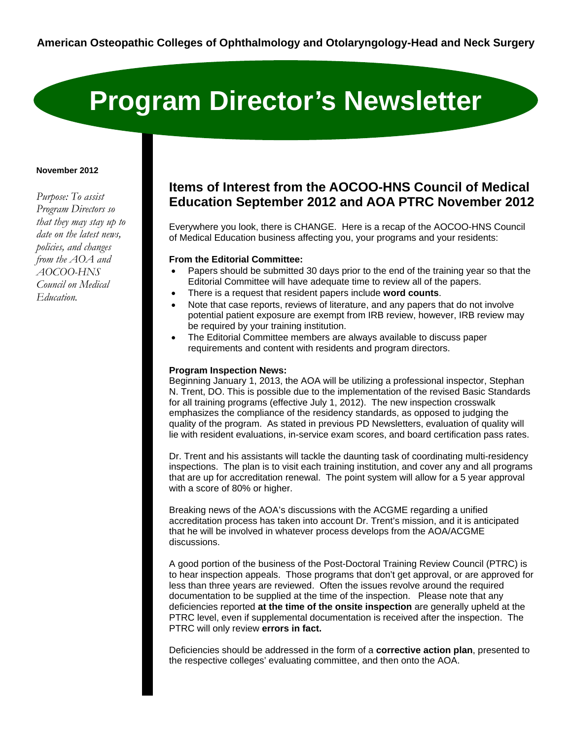# **Program Director's Newsletter**

#### **November 2012**

*Purpose: To assist Program Directors so that they may stay up to date on the latest news, policies, and changes from the AOA and AOCOO-HNS Council on Medical Education.* 

# **Items of Interest from the AOCOO-HNS Council of Medical Education September 2012 and AOA PTRC November 2012**

Everywhere you look, there is CHANGE. Here is a recap of the AOCOO-HNS Council of Medical Education business affecting you, your programs and your residents:

## **From the Editorial Committee:**

- Papers should be submitted 30 days prior to the end of the training year so that the Editorial Committee will have adequate time to review all of the papers.
- There is a request that resident papers include **word counts**.
- Note that case reports, reviews of literature, and any papers that do not involve potential patient exposure are exempt from IRB review, however, IRB review may be required by your training institution.
- The Editorial Committee members are always available to discuss paper requirements and content with residents and program directors.

#### **Program Inspection News:**

Beginning January 1, 2013, the AOA will be utilizing a professional inspector, Stephan N. Trent, DO. This is possible due to the implementation of the revised Basic Standards for all training programs (effective July 1, 2012). The new inspection crosswalk emphasizes the compliance of the residency standards, as opposed to judging the quality of the program. As stated in previous PD Newsletters, evaluation of quality will lie with resident evaluations, in-service exam scores, and board certification pass rates.

Dr. Trent and his assistants will tackle the daunting task of coordinating multi-residency inspections. The plan is to visit each training institution, and cover any and all programs that are up for accreditation renewal. The point system will allow for a 5 year approval with a score of 80% or higher.

Breaking news of the AOA's discussions with the ACGME regarding a unified accreditation process has taken into account Dr. Trent's mission, and it is anticipated that he will be involved in whatever process develops from the AOA/ACGME discussions.

A good portion of the business of the Post-Doctoral Training Review Council (PTRC) is to hear inspection appeals. Those programs that don't get approval, or are approved for less than three years are reviewed. Often the issues revolve around the required documentation to be supplied at the time of the inspection. Please note that any deficiencies reported **at the time of the onsite inspection** are generally upheld at the PTRC level, even if supplemental documentation is received after the inspection. The PTRC will only review **errors in fact.** 

Deficiencies should be addressed in the form of a **corrective action plan**, presented to the respective colleges' evaluating committee, and then onto the AOA.